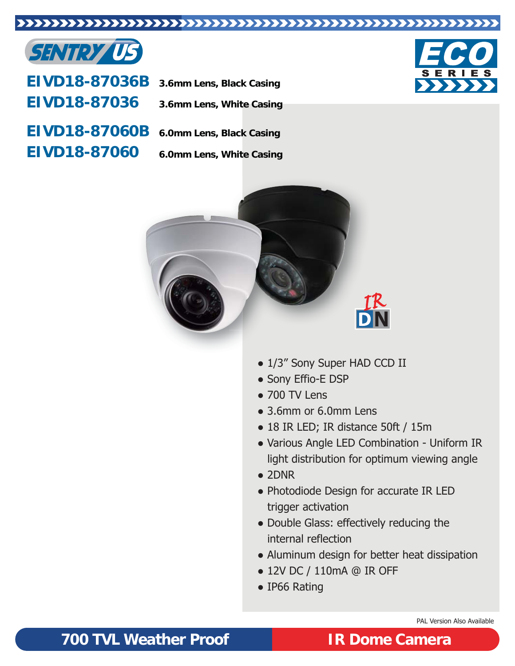### 



**EIVD18-87036B EIVD18-87036 3.6mm Lens, Black Casing**

**3.6mm Lens, White Casing**

**EIVD18-87060B EIVD18-87060**



**6.0mm Lens, White Casing**





- 1/3" Sony Super HAD CCD II
- Sony Effio-E DSP
- 700 TV Lens
- 3.6mm or 6.0mm Lens
- 18 IR LED; IR distance 50ft / 15m
- Various Angle LED Combination Uniform IR light distribution for optimum viewing angle
- 2DNR
- Photodiode Design for accurate IR LED trigger activation
- Double Glass: effectively reducing the internal reflection
- Aluminum design for better heat dissipation
- 12V DC / 110mA @ IR OFF
- IP66 Rating

PAL Version Also Available

## **700 TVL Weather Proof IR Dome Camera**